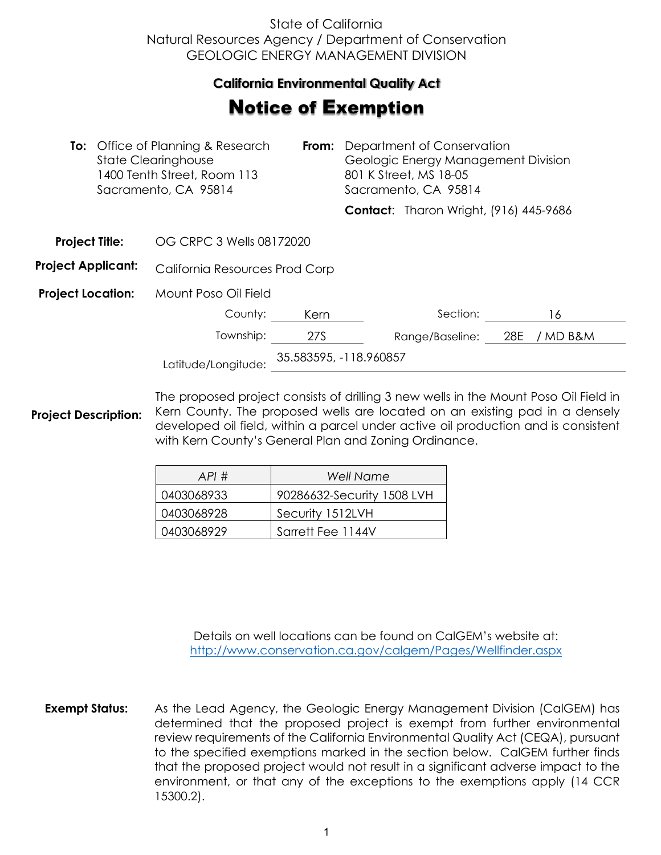## State of California Natural Resources Agency / Department of Conservation GEOLOGIC ENERGY MANAGEMENT DIVISION

## **California Environmental Quality Act**  California Environmental Quality Act

## **Notice of Exemption**

|                           | <b>To:</b> Office of Planning & Research<br><b>State Clearinghouse</b><br>1400 Tenth Street, Room 113<br>Sacramento, CA 95814 |                                | From: | Department of Conservation<br>Geologic Energy Management Division<br>801 K Street, MS 18-05<br>Sacramento, CA 95814 |                                               |     |          |  |
|---------------------------|-------------------------------------------------------------------------------------------------------------------------------|--------------------------------|-------|---------------------------------------------------------------------------------------------------------------------|-----------------------------------------------|-----|----------|--|
|                           |                                                                                                                               |                                |       |                                                                                                                     | <b>Contact:</b> Tharon Wright, (916) 445-9686 |     |          |  |
| <b>Project Title:</b>     |                                                                                                                               | OG CRPC 3 Wells 08172020       |       |                                                                                                                     |                                               |     |          |  |
| <b>Project Applicant:</b> |                                                                                                                               | California Resources Prod Corp |       |                                                                                                                     |                                               |     |          |  |
| <b>Project Location:</b>  |                                                                                                                               | Mount Poso Oil Field           |       |                                                                                                                     |                                               |     |          |  |
|                           |                                                                                                                               | County:                        | Kern  |                                                                                                                     | Section:                                      |     | 16       |  |
|                           |                                                                                                                               | Township:                      | 27S   |                                                                                                                     | Range/Baseline:                               | 28E | / MD B&M |  |
| Latitude/Longitude:       |                                                                                                                               | 35.583595, -118.960857         |       |                                                                                                                     |                                               |     |          |  |

**Project Description:** The proposed project consists of drilling 3 new wells in the Mount Poso Oil Field in Kern County. The proposed wells are located on an existing pad in a densely developed oil field, within a parcel under active oil production and is consistent with Kern County's General Plan and Zoning Ordinance.

| API#       | Well Name                  |
|------------|----------------------------|
| 0403068933 | 90286632-Security 1508 LVH |
| 0403068928 | Security 1512LVH           |
| 0403068929 | Sarrett Fee 1144V          |

Details on well locations can be found on CalGEM's website at: <http://www.conservation.ca.gov/calgem/Pages/Wellfinder.aspx>

**Exempt Status:** As the Lead Agency, the Geologic Energy Management Division (CalGEM) has determined that the proposed project is exempt from further environmental review requirements of the California Environmental Quality Act (CEQA), pursuant to the specified exemptions marked in the section below. CalGEM further finds that the proposed project would not result in a significant adverse impact to the environment, or that any of the exceptions to the exemptions apply (14 CCR 15300.2).